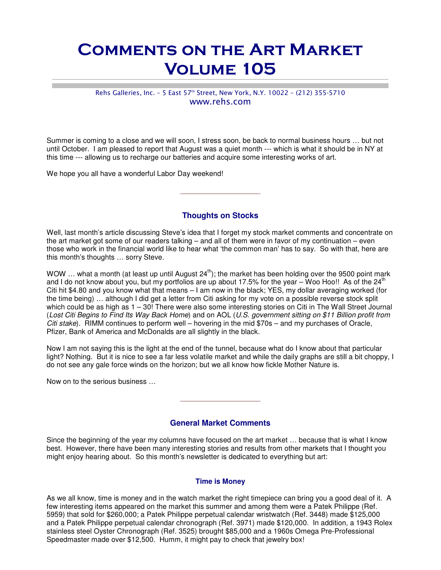# Comments on the Art Market Volume 105

## Rehs Galleries, Inc. - 5 East 57<sup>th</sup> Street, New York, N.Y. 10022 - (212) 355-5710 www.rehs.com

Summer is coming to a close and we will soon, I stress soon, be back to normal business hours … but not until October. I am pleased to report that August was a quiet month --- which is what it should be in NY at this time --- allowing us to recharge our batteries and acquire some interesting works of art.

We hope you all have a wonderful Labor Day weekend!

## **Thoughts on Stocks**

 $\_$ 

Well, last month's article discussing Steve's idea that I forget my stock market comments and concentrate on the art market got some of our readers talking – and all of them were in favor of my continuation – even those who work in the financial world like to hear what 'the common man' has to say. So with that, here are this month's thoughts … sorry Steve.

WOW ... what a month (at least up until August  $24^{th}$ ); the market has been holding over the 9500 point mark and I do not know about you, but my portfolios are up about 17.5% for the year – Woo Hoo!! As of the 24<sup>th</sup> Citi hit \$4.80 and you know what that means – I am now in the black; YES, my dollar averaging worked (for the time being) … although I did get a letter from Citi asking for my vote on a possible reverse stock split which could be as high as 1 – 30! There were also some interesting stories on Citi in The Wall Street Journal (Lost Citi Begins to Find Its Way Back Home) and on AOL (U.S. government sitting on \$11 Billion profit from Citi stake). RIMM continues to perform well – hovering in the mid \$70s – and my purchases of Oracle, Pfizer, Bank of America and McDonalds are all slightly in the black.

Now I am not saying this is the light at the end of the tunnel, because what do I know about that particular light? Nothing. But it is nice to see a far less volatile market and while the daily graphs are still a bit choppy, I do not see any gale force winds on the horizon; but we all know how fickle Mother Nature is.

Now on to the serious business …

## **General Market Comments**

 $\_$ 

Since the beginning of the year my columns have focused on the art market … because that is what I know best. However, there have been many interesting stories and results from other markets that I thought you might enjoy hearing about. So this month's newsletter is dedicated to everything but art:

#### **Time is Money**

As we all know, time is money and in the watch market the right timepiece can bring you a good deal of it. A few interesting items appeared on the market this summer and among them were a Patek Philippe (Ref. 5959) that sold for \$260,000; a Patek Philippe perpetual calendar wristwatch (Ref. 3448) made \$125,000 and a Patek Philippe perpetual calendar chronograph (Ref. 3971) made \$120,000. In addition, a 1943 Rolex stainless steel Oyster Chronograph (Ref. 3525) brought \$85,000 and a 1960s Omega Pre-Professional Speedmaster made over \$12,500. Humm, it might pay to check that jewelry box!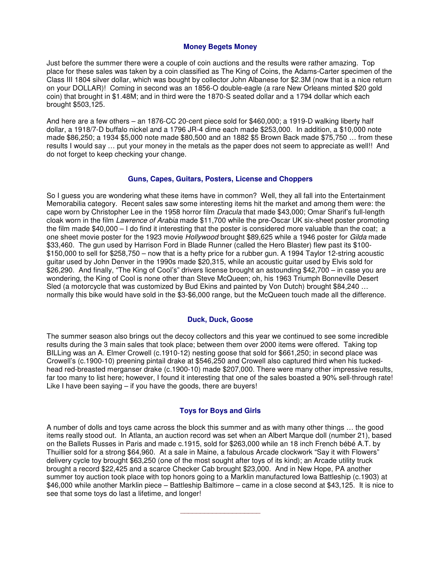#### **Money Begets Money**

Just before the summer there were a couple of coin auctions and the results were rather amazing. Top place for these sales was taken by a coin classified as The King of Coins, the Adams-Carter specimen of the Class III 1804 silver dollar, which was bought by collector John Albanese for \$2.3M (now that is a nice return on your DOLLAR)! Coming in second was an 1856-O double-eagle (a rare New Orleans minted \$20 gold coin) that brought in \$1.48M; and in third were the 1870-S seated dollar and a 1794 dollar which each brought \$503,125.

And here are a few others – an 1876-CC 20-cent piece sold for \$460,000; a 1919-D walking liberty half dollar, a 1918/7-D buffalo nickel and a 1796 JR-4 dime each made \$253,000. In addition, a \$10,000 note made \$86,250; a 1934 \$5,000 note made \$80,500 and an 1882 \$5 Brown Back made \$75,750 … from these results I would say … put your money in the metals as the paper does not seem to appreciate as well!! And do not forget to keep checking your change.

#### **Guns, Capes, Guitars, Posters, License and Choppers**

So I guess you are wondering what these items have in common? Well, they all fall into the Entertainment Memorabilia category. Recent sales saw some interesting items hit the market and among them were: the cape worn by Christopher Lee in the 1958 horror film *Dracula* that made \$43,000; Omar Sharif's full-length cloak worn in the film *Lawrence of Arabia* made \$11,700 while the pre-Oscar UK six-sheet poster promoting the film made \$40,000 – I do find it interesting that the poster is considered more valuable than the coat; a one sheet movie poster for the 1923 movie Hollywood brought \$89,625 while a 1946 poster for Gilda made \$33,460. The gun used by Harrison Ford in Blade Runner (called the Hero Blaster) flew past its \$100-\$150,000 to sell for \$258,750 – now that is a hefty price for a rubber gun. A 1994 Taylor 12-string acoustic guitar used by John Denver in the 1990s made \$20,315, while an acoustic guitar used by Elvis sold for \$26,290. And finally, "The King of Cool's" drivers license brought an astounding \$42,700 – in case you are wondering, the King of Cool is none other than Steve McQueen; oh, his 1963 Triumph Bonneville Desert Sled (a motorcycle that was customized by Bud Ekins and painted by Von Dutch) brought \$84,240 … normally this bike would have sold in the \$3-\$6,000 range, but the McQueen touch made all the difference.

#### **Duck, Duck, Goose**

The summer season also brings out the decoy collectors and this year we continued to see some incredible results during the 3 main sales that took place; between them over 2000 items were offered. Taking top BILLing was an A. Elmer Crowell (c.1910-12) nesting goose that sold for \$661,250; in second place was Crowell's (c.1900-10) preening pintail drake at \$546,250 and Crowell also captured third when his tuckedhead red-breasted merganser drake (c.1900-10) made \$207,000. There were many other impressive results, far too many to list here; however, I found it interesting that one of the sales boasted a 90% sell-through rate! Like I have been saying – if you have the goods, there are buyers!

#### **Toys for Boys and Girls**

A number of dolls and toys came across the block this summer and as with many other things … the good items really stood out. In Atlanta, an auction record was set when an Albert Marque doll (number 21), based on the Ballets Russes in Paris and made c.1915, sold for \$263,000 while an 18 inch French bébé A.T. by Thuillier sold for a strong \$64,960. At a sale in Maine, a fabulous Arcade clockwork "Say it with Flowers" delivery cycle toy brought \$63,250 (one of the most sought after toys of its kind); an Arcade utility truck brought a record \$22,425 and a scarce Checker Cab brought \$23,000. And in New Hope, PA another summer toy auction took place with top honors going to a Marklin manufactured Iowa Battleship (c.1903) at \$46,000 while another Marklin piece – Battleship Baltimore – came in a close second at \$43,125. It is nice to see that some toys do last a lifetime, and longer!

\_\_\_\_\_\_\_\_\_\_\_\_\_\_\_\_\_\_\_\_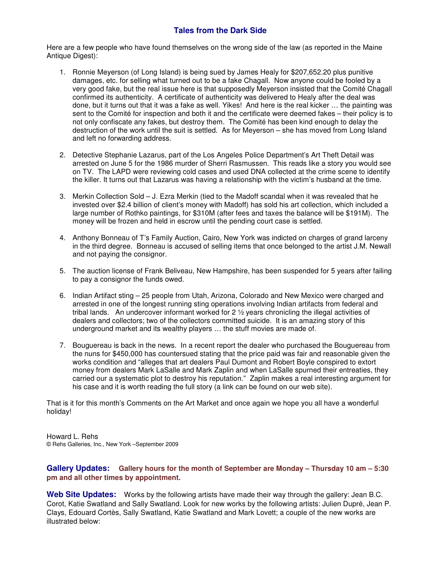# **Tales from the Dark Side**

Here are a few people who have found themselves on the wrong side of the law (as reported in the Maine Antique Digest):

- 1. Ronnie Meyerson (of Long Island) is being sued by James Healy for \$207,652.20 plus punitive damages, etc. for selling what turned out to be a fake Chagall. Now anyone could be fooled by a very good fake, but the real issue here is that supposedly Meyerson insisted that the Comité Chagall confirmed its authenticity. A certificate of authenticity was delivered to Healy after the deal was done, but it turns out that it was a fake as well. Yikes! And here is the real kicker … the painting was sent to the Comité for inspection and both it and the certificate were deemed fakes – their policy is to not only confiscate any fakes, but destroy them. The Comité has been kind enough to delay the destruction of the work until the suit is settled. As for Meyerson – she has moved from Long Island and left no forwarding address.
- 2. Detective Stephanie Lazarus, part of the Los Angeles Police Department's Art Theft Detail was arrested on June 5 for the 1986 murder of Sherri Rasmussen. This reads like a story you would see on TV. The LAPD were reviewing cold cases and used DNA collected at the crime scene to identify the killer. It turns out that Lazarus was having a relationship with the victim's husband at the time.
- 3. Merkin Collection Sold J. Ezra Merkin (tied to the Madoff scandal when it was revealed that he invested over \$2.4 billion of client's money with Madoff) has sold his art collection, which included a large number of Rothko paintings, for \$310M (after fees and taxes the balance will be \$191M). The money will be frozen and held in escrow until the pending court case is settled.
- 4. Anthony Bonneau of T's Family Auction, Cairo, New York was indicted on charges of grand larceny in the third degree. Bonneau is accused of selling items that once belonged to the artist J.M. Newall and not paying the consignor.
- 5. The auction license of Frank Beliveau, New Hampshire, has been suspended for 5 years after failing to pay a consignor the funds owed.
- 6. Indian Artifact sting 25 people from Utah, Arizona, Colorado and New Mexico were charged and arrested in one of the longest running sting operations involving Indian artifacts from federal and tribal lands. An undercover informant worked for 2 ½ years chronicling the illegal activities of dealers and collectors; two of the collectors committed suicide. It is an amazing story of this underground market and its wealthy players … the stuff movies are made of.
- 7. Bouguereau is back in the news. In a recent report the dealer who purchased the Bouguereau from the nuns for \$450,000 has countersued stating that the price paid was fair and reasonable given the works condition and "alleges that art dealers Paul Dumont and Robert Boyle conspired to extort money from dealers Mark LaSalle and Mark Zaplin and when LaSalle spurned their entreaties, they carried our a systematic plot to destroy his reputation." Zaplin makes a real interesting argument for his case and it is worth reading the full story (a link can be found on our web site).

That is it for this month's Comments on the Art Market and once again we hope you all have a wonderful holiday!

Howard L. Rehs © Rehs Galleries, Inc., New York –September 2009

### **Gallery Updates: Gallery hours for the month of September are Monday – Thursday 10 am – 5:30 pm and all other times by appointment.**

**Web Site Updates:** Works by the following artists have made their way through the gallery: Jean B.C. Corot, Katie Swatland and Sally Swatland. Look for new works by the following artists: Julien Dupré, Jean P. Clays, Edouard Cortès, Sally Swatland, Katie Swatland and Mark Lovett; a couple of the new works are illustrated below: